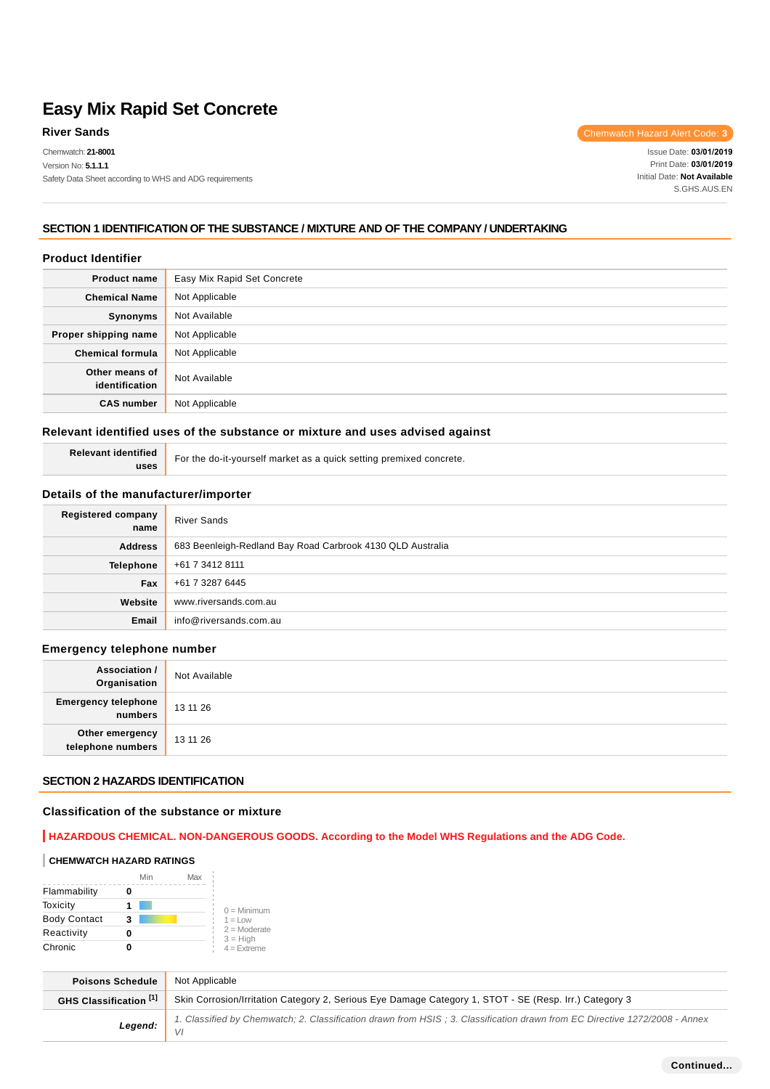Chemwatch: **21-8001**

**River Sands** Chemwatch Hazard Alert Code: 3

Issue Date: **03/01/2019**  Print Date: **03/01/2019**  Initial Date: **Not Available** S.GHS.AUS.EN

### **SECTION 1 IDENTIFICATION OF THE SUBSTANCE / MIXTURE AND OF THE COMPANY / UNDERTAKING**

#### **Product Identifier**

| <b>Product name</b>              | Easy Mix Rapid Set Concrete |  |
|----------------------------------|-----------------------------|--|
| <b>Chemical Name</b>             | Not Applicable              |  |
| Synonyms                         | Not Available               |  |
| Proper shipping name             | Not Applicable              |  |
| <b>Chemical formula</b>          | Not Applicable              |  |
| Other means of<br>identification | Not Available               |  |
| <b>CAS number</b>                | Not Applicable              |  |

#### **Relevant identified uses of the substance or mixture and uses advised against**

|      | Relevant identified   For the do-it-yourself market as a quick setting premixed concrete. |
|------|-------------------------------------------------------------------------------------------|
| uses |                                                                                           |

### **Details of the manufacturer/importer**

| <b>Registered company</b><br>name | <b>River Sands</b>                                         |
|-----------------------------------|------------------------------------------------------------|
| <b>Address</b>                    | 683 Beenleigh-Redland Bay Road Carbrook 4130 QLD Australia |
| Telephone                         | +61 7 3412 8111                                            |
| Fax                               | +61 7 3287 6445                                            |
| Website                           | www.riversands.com.au                                      |
| Email                             | info@riversands.com.au                                     |

#### **Emergency telephone number**

| <b>Association /</b><br>Organisation  | Not Available |
|---------------------------------------|---------------|
| <b>Emergency telephone</b><br>numbers | 13 11 26      |
| Other emergency<br>telephone numbers  | 13 11 26      |

#### **SECTION 2 HAZARDS IDENTIFICATION**

#### **Classification of the substance or mixture**

### **HAZARDOUS CHEMICAL. NON-DANGEROUS GOODS. According to the Model WHS Regulations and the ADG Code.**

#### **CHEMWATCH HAZARD RATINGS**

|                     | Min | Max |                              |
|---------------------|-----|-----|------------------------------|
| Flammability        |     |     |                              |
| Toxicity            |     |     | $0 =$ Minimum                |
| <b>Body Contact</b> | 3   |     | $1 = 1$ $\Omega$             |
| Reactivity          |     |     | $2 =$ Moderate<br>$3 = High$ |
| Chronic             |     |     | $4 =$ Extreme                |

| <b>Poisons Schedule</b>         | Not Applicable                                                                                                             |  |
|---------------------------------|----------------------------------------------------------------------------------------------------------------------------|--|
| GHS Classification [1]          | Skin Corrosion/Irritation Category 2, Serious Eye Damage Category 1, STOT - SE (Resp. Irr.) Category 3                     |  |
| Legend: $\parallel$ $\parallel$ | 1. Classified by Chemwatch; 2. Classification drawn from HSIS; 3. Classification drawn from EC Directive 1272/2008 - Annex |  |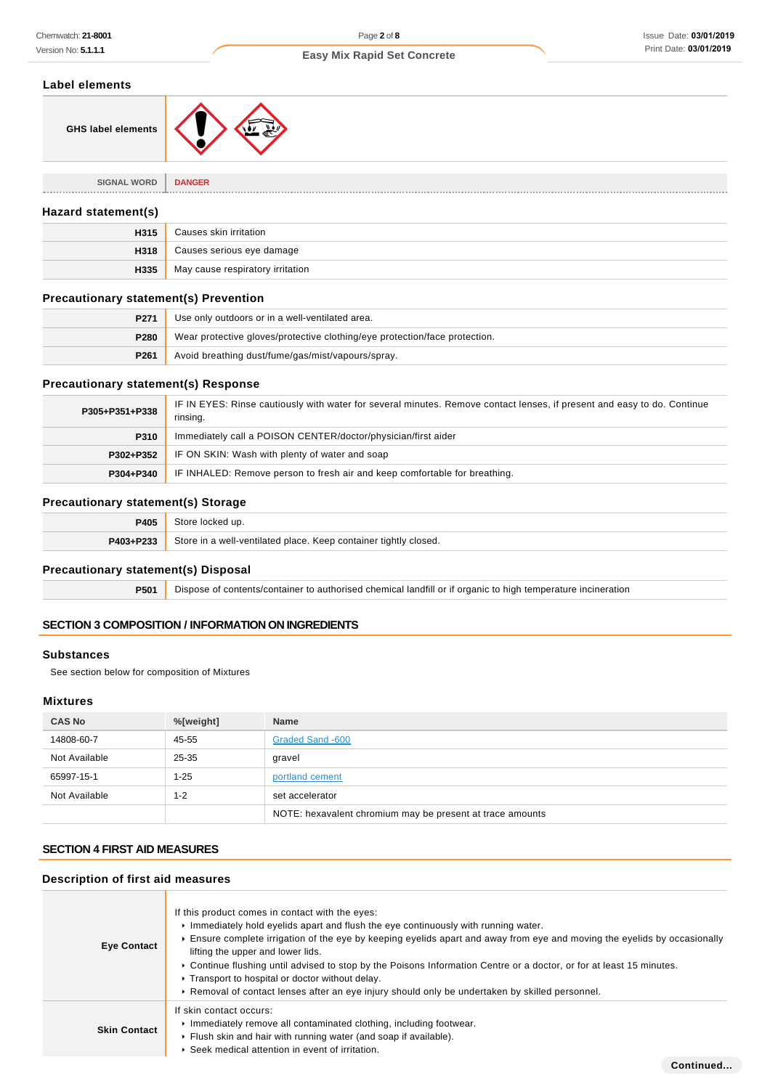### **Label elements**

| Label elements                      |               |
|-------------------------------------|---------------|
| <b>GHS label elements</b>           |               |
|                                     |               |
| <b>SIGNAL WORD</b><br>------------- | <b>DANGER</b> |

### **Hazard statement(s)**

| H315 | Causes skin irritation           |
|------|----------------------------------|
| H318 | Causes serious eye damage        |
| H335 | May cause respiratory irritation |

#### **Precautionary statement(s) Prevention**

| P <sub>271</sub> | Use only outdoors or in a well-ventilated area.                            |
|------------------|----------------------------------------------------------------------------|
| P280             | Wear protective gloves/protective clothing/eye protection/face protection. |
| P <sub>261</sub> | Avoid breathing dust/fume/gas/mist/vapours/spray.                          |

### **Precautionary statement(s) Response**

| P305+P351+P338 | IF IN EYES: Rinse cautiously with water for several minutes. Remove contact lenses, if present and easy to do. Continue<br>rinsing. |
|----------------|-------------------------------------------------------------------------------------------------------------------------------------|
| P310           | Immediately call a POISON CENTER/doctor/physician/first aider                                                                       |
| P302+P352      | IF ON SKIN: Wash with plenty of water and soap                                                                                      |
| P304+P340      | IF INHALED: Remove person to fresh air and keep comfortable for breathing.                                                          |

### **Precautionary statement(s) Storage**

| <b>P405</b> | Store locked up.                                                   |  |
|-------------|--------------------------------------------------------------------|--|
| P403+P233   | . Store in a well-ventilated place. Keep container tightly closed. |  |

### **Precautionary statement(s) Disposal**

**P501** Dispose of contents/container to authorised chemical landfill or if organic to high temperature incineration

### **SECTION 3 COMPOSITION / INFORMATION ON INGREDIENTS**

#### **Substances**

See section below for composition of Mixtures

### **Mixtures**

| <b>CAS No</b> | %[weight] | <b>Name</b>                                               |
|---------------|-----------|-----------------------------------------------------------|
| 14808-60-7    | 45-55     | Graded Sand -600                                          |
| Not Available | $25 - 35$ | gravel                                                    |
| 65997-15-1    | 1-25      | portland cement                                           |
| Not Available | 1-2       | set accelerator                                           |
|               |           | NOTE: hexavalent chromium may be present at trace amounts |

### **SECTION 4 FIRST AID MEASURES**

#### **Description of first aid measures**

| <b>Eye Contact</b>  | If this product comes in contact with the eyes:<br>Immediately hold eyelids apart and flush the eye continuously with running water.<br>Ensure complete irrigation of the eye by keeping eyelids apart and away from eye and moving the eyelids by occasionally<br>lifting the upper and lower lids.<br>► Continue flushing until advised to stop by the Poisons Information Centre or a doctor, or for at least 15 minutes.<br>Transport to hospital or doctor without delay.<br>▶ Removal of contact lenses after an eye injury should only be undertaken by skilled personnel. |  |  |  |
|---------------------|-----------------------------------------------------------------------------------------------------------------------------------------------------------------------------------------------------------------------------------------------------------------------------------------------------------------------------------------------------------------------------------------------------------------------------------------------------------------------------------------------------------------------------------------------------------------------------------|--|--|--|
| <b>Skin Contact</b> | If skin contact occurs:<br>Immediately remove all contaminated clothing, including footwear.<br>Flush skin and hair with running water (and soap if available).<br>▶ Seek medical attention in event of irritation.                                                                                                                                                                                                                                                                                                                                                               |  |  |  |
|                     | Continued                                                                                                                                                                                                                                                                                                                                                                                                                                                                                                                                                                         |  |  |  |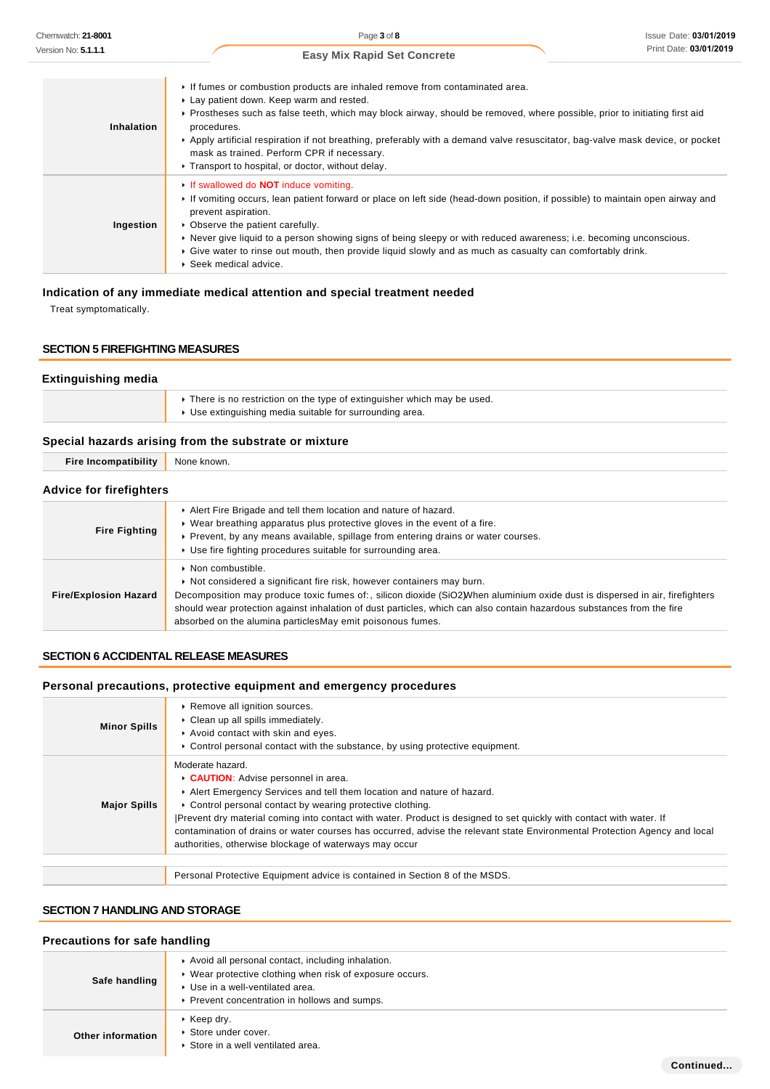| ersion No: <b>5.1.1.1</b> | Print Date: 03/01/2019<br><b>Easy Mix Rapid Set Concrete</b>                                                                                                                                                                                                                                                                                                                                                                                                                                           |
|---------------------------|--------------------------------------------------------------------------------------------------------------------------------------------------------------------------------------------------------------------------------------------------------------------------------------------------------------------------------------------------------------------------------------------------------------------------------------------------------------------------------------------------------|
| Inhalation                | If fumes or combustion products are inhaled remove from contaminated area.<br>Lay patient down. Keep warm and rested.<br>▶ Prostheses such as false teeth, which may block airway, should be removed, where possible, prior to initiating first aid<br>procedures.<br>▶ Apply artificial respiration if not breathing, preferably with a demand valve resuscitator, bag-valve mask device, or pocket<br>mask as trained. Perform CPR if necessary.<br>Transport to hospital, or doctor, without delay. |
| Ingestion                 | If swallowed do <b>NOT</b> induce vomiting.<br>If vomiting occurs, lean patient forward or place on left side (head-down position, if possible) to maintain open airway and<br>prevent aspiration.<br>• Observe the patient carefully.<br>▶ Never give liquid to a person showing signs of being sleepy or with reduced awareness; i.e. becoming unconscious.<br>Give water to rinse out mouth, then provide liquid slowly and as much as casualty can comfortably drink.<br>▶ Seek medical advice.    |

### **Indication of any immediate medical attention and special treatment needed**

Treat symptomatically.

#### **SECTION 5 FIREFIGHTING MEASURES**

## **Extinguishing media**  $\blacktriangleright$  There is no restriction on the type of extinguisher which may be used. Use extinguishing media suitable for surrounding area.

### **Special hazards arising from the substrate or mixture**

| <b>Fire Incompatibility</b>    | None known.                                                                                                                                                                                                                                                                                                                                                            |
|--------------------------------|------------------------------------------------------------------------------------------------------------------------------------------------------------------------------------------------------------------------------------------------------------------------------------------------------------------------------------------------------------------------|
| <b>Advice for firefighters</b> |                                                                                                                                                                                                                                                                                                                                                                        |
| <b>Fire Fighting</b>           | Alert Fire Brigade and tell them location and nature of hazard.<br>► Wear breathing apparatus plus protective gloves in the event of a fire.<br>▶ Prevent, by any means available, spillage from entering drains or water courses.<br>▶ Use fire fighting procedures suitable for surrounding area.                                                                    |
| <b>Fire/Explosion Hazard</b>   | $\triangleright$ Non combustible.<br>► Not considered a significant fire risk, however containers may burn.<br>Decomposition may produce toxic fumes of:, silicon dioxide (SiO2) When aluminium oxide dust is dispersed in air, firefighters<br>should wear protection against inhalation of dust particles, which can also contain hazardous substances from the fire |

### **SECTION 6 ACCIDENTAL RELEASE MEASURES**

### **Personal precautions, protective equipment and emergency procedures**

absorbed on the alumina particlesMay emit poisonous fumes.

| <b>Minor Spills</b> | Remove all ignition sources.<br>Clean up all spills immediately.<br>Avoid contact with skin and eyes.<br>► Control personal contact with the substance, by using protective equipment.                                                                                                                                                                                                                                                                                                                       |
|---------------------|--------------------------------------------------------------------------------------------------------------------------------------------------------------------------------------------------------------------------------------------------------------------------------------------------------------------------------------------------------------------------------------------------------------------------------------------------------------------------------------------------------------|
| <b>Major Spills</b> | Moderate hazard.<br>CAUTION: Advise personnel in area.<br>Alert Emergency Services and tell them location and nature of hazard.<br>• Control personal contact by wearing protective clothing.<br>Prevent dry material coming into contact with water. Product is designed to set quickly with contact with water. If<br>contamination of drains or water courses has occurred, advise the relevant state Environmental Protection Agency and local<br>authorities, otherwise blockage of waterways may occur |
|                     | Personal Protective Equipment advice is contained in Section 8 of the MSDS.                                                                                                                                                                                                                                                                                                                                                                                                                                  |

### **SECTION 7 HANDLING AND STORAGE**

### **Precautions for safe handling**

| Safe handling     | Avoid all personal contact, including inhalation.<br>▶ Wear protective clothing when risk of exposure occurs.<br>▶ Use in a well-ventilated area.<br>▶ Prevent concentration in hollows and sumps. |
|-------------------|----------------------------------------------------------------------------------------------------------------------------------------------------------------------------------------------------|
| Other information | $\cdot$ Keep dry.<br>▶ Store under cover.<br>Store in a well ventilated area.                                                                                                                      |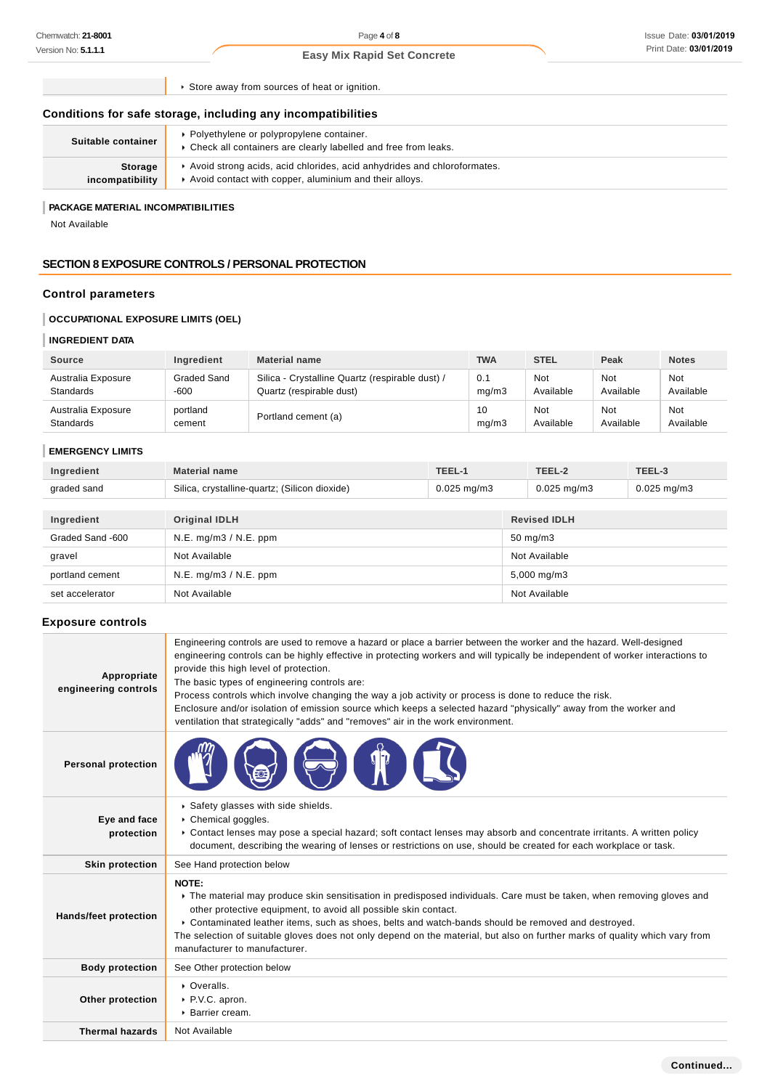Page **4** of **8**

### **Easy Mix Rapid Set Concrete**

| Conditions for safe storage, including any incompatibilities |  |  |
|--------------------------------------------------------------|--|--|

| Suitable container                | • Polyethylene or polypropylene container.<br>• Check all containers are clearly labelled and free from leaks.                    |
|-----------------------------------|-----------------------------------------------------------------------------------------------------------------------------------|
| <b>Storage</b><br>incompatibility | Avoid strong acids, acid chlorides, acid anhydrides and chloroformates.<br>Avoid contact with copper, aluminium and their alloys. |

#### **PACKAGE MATERIAL INCOMPATIBILITIES**

### **SECTION 8 EXPOSURE CONTROLS / PERSONAL PROTECTION**

### **Control parameters**

### **OCCUPATIONAL EXPOSURE LIMITS (OEL)**

### **INGREDIENT DATA**

| <b>Source</b>      | Ingredient  | <b>Material name</b>                            | <b>TWA</b> | <b>STEL</b> | Peak      | <b>Notes</b> |
|--------------------|-------------|-------------------------------------------------|------------|-------------|-----------|--------------|
| Australia Exposure | Graded Sand | Silica - Crystalline Quartz (respirable dust) / | 0.1        | Not         | Not       | Not          |
| <b>Standards</b>   | $-600$      | Quartz (respirable dust)                        | mq/m3      | Available   | Available | Available    |
| Australia Exposure | portland    | Portland cement (a)                             | 10         | <b>Not</b>  | Not       | Not          |
| <b>Standards</b>   | cement      |                                                 | mg/m3      | Available   | Available | Available    |

#### **EMERGENCY LIMITS**

| Ingredient  | Material name                                 |                         |       |             |
|-------------|-----------------------------------------------|-------------------------|-------|-------------|
| graded sand | Silica, crystalline-quartz; (Silicon dioxide) | $0.025 \; \text{ma/m3}$ | ma/m3 | 0.025 mg/m3 |

| Ingredient       | Original IDLH         | <b>Revised IDLH</b> |
|------------------|-----------------------|---------------------|
| Graded Sand -600 | N.E. mg/m3 / N.E. ppm | $50 \text{ mg/m}$ 3 |
| gravel           | Not Available         | Not Available       |
| portland cement  | N.E. mg/m3 / N.E. ppm | 5,000 mg/m3         |
| set accelerator  | Not Available         | Not Available       |

### **Exposure controls**

| Chemwatch: 21-8001                                  |                                                                                    | Page 4 of 8                                                                                                                                                                                                                                                                                                                                                                                                                                                                                                                                                                                                                                                        |        |              |                                             |                  | Issue Date: 03/01/201   |
|-----------------------------------------------------|------------------------------------------------------------------------------------|--------------------------------------------------------------------------------------------------------------------------------------------------------------------------------------------------------------------------------------------------------------------------------------------------------------------------------------------------------------------------------------------------------------------------------------------------------------------------------------------------------------------------------------------------------------------------------------------------------------------------------------------------------------------|--------|--------------|---------------------------------------------|------------------|-------------------------|
| Version No: <b>5.1.1.1</b>                          |                                                                                    | <b>Easy Mix Rapid Set Concrete</b>                                                                                                                                                                                                                                                                                                                                                                                                                                                                                                                                                                                                                                 |        |              |                                             |                  | Print Date: 03/01/2019  |
|                                                     |                                                                                    | Store away from sources of heat or ignition.                                                                                                                                                                                                                                                                                                                                                                                                                                                                                                                                                                                                                       |        |              |                                             |                  |                         |
|                                                     |                                                                                    | Conditions for safe storage, including any incompatibilities                                                                                                                                                                                                                                                                                                                                                                                                                                                                                                                                                                                                       |        |              |                                             |                  |                         |
| Suitable container                                  |                                                                                    | ▶ Polyethylene or polypropylene container.<br>Check all containers are clearly labelled and free from leaks.                                                                                                                                                                                                                                                                                                                                                                                                                                                                                                                                                       |        |              |                                             |                  |                         |
| Storage<br>incompatibility                          |                                                                                    | Avoid strong acids, acid chlorides, acid anhydrides and chloroformates.<br>Avoid contact with copper, aluminium and their alloys.                                                                                                                                                                                                                                                                                                                                                                                                                                                                                                                                  |        |              |                                             |                  |                         |
| PACKAGE MATERIAL INCOMPATIBILITIES<br>Not Available |                                                                                    |                                                                                                                                                                                                                                                                                                                                                                                                                                                                                                                                                                                                                                                                    |        |              |                                             |                  |                         |
|                                                     |                                                                                    | <b>SECTION 8 EXPOSURE CONTROLS / PERSONAL PROTECTION</b>                                                                                                                                                                                                                                                                                                                                                                                                                                                                                                                                                                                                           |        |              |                                             |                  |                         |
| <b>Control parameters</b>                           |                                                                                    |                                                                                                                                                                                                                                                                                                                                                                                                                                                                                                                                                                                                                                                                    |        |              |                                             |                  |                         |
| <b>OCCUPATIONAL EXPOSURE LIMITS (OEL)</b>           |                                                                                    |                                                                                                                                                                                                                                                                                                                                                                                                                                                                                                                                                                                                                                                                    |        |              |                                             |                  |                         |
| <b>INGREDIENT DATA</b>                              |                                                                                    |                                                                                                                                                                                                                                                                                                                                                                                                                                                                                                                                                                                                                                                                    |        |              |                                             |                  |                         |
| <b>Source</b>                                       | Ingredient                                                                         | <b>Material name</b>                                                                                                                                                                                                                                                                                                                                                                                                                                                                                                                                                                                                                                               |        | <b>TWA</b>   | <b>STEL</b>                                 | Peak             | <b>Notes</b>            |
| Australia Exposure<br>Standards                     | Graded Sand<br>$-600$                                                              | Silica - Crystalline Quartz (respirable dust) /<br>Quartz (respirable dust)                                                                                                                                                                                                                                                                                                                                                                                                                                                                                                                                                                                        |        | 0.1<br>mg/m3 | Not<br>Available                            | Not<br>Available | <b>Not</b><br>Available |
| Australia Exposure<br>Standards                     | portland<br>cement                                                                 | Portland cement (a)                                                                                                                                                                                                                                                                                                                                                                                                                                                                                                                                                                                                                                                |        | 10<br>mg/m3  | Not<br><b>Not</b><br>Available<br>Available |                  | <b>Not</b><br>Available |
| <b>EMERGENCY LIMITS</b>                             |                                                                                    |                                                                                                                                                                                                                                                                                                                                                                                                                                                                                                                                                                                                                                                                    |        |              |                                             |                  |                         |
| Ingredient                                          | <b>Material name</b>                                                               |                                                                                                                                                                                                                                                                                                                                                                                                                                                                                                                                                                                                                                                                    | TEEL-1 |              | TEEL-2<br>TEEL-3                            |                  |                         |
| graded sand                                         | Silica, crystalline-quartz; (Silicon dioxide)<br>$0.025$ mg/m3<br>$0.025$ mg/m $3$ |                                                                                                                                                                                                                                                                                                                                                                                                                                                                                                                                                                                                                                                                    |        |              | $0.025$ mg/m3                               |                  |                         |
| Ingredient                                          | <b>Original IDLH</b>                                                               |                                                                                                                                                                                                                                                                                                                                                                                                                                                                                                                                                                                                                                                                    |        |              | <b>Revised IDLH</b>                         |                  |                         |
| Graded Sand -600                                    | N.E. mg/m3 / N.E. ppm                                                              |                                                                                                                                                                                                                                                                                                                                                                                                                                                                                                                                                                                                                                                                    |        |              | 50 mg/m3                                    |                  |                         |
| gravel                                              | Not Available<br>Not Available                                                     |                                                                                                                                                                                                                                                                                                                                                                                                                                                                                                                                                                                                                                                                    |        |              |                                             |                  |                         |
| portland cement                                     | N.E. mg/m3 / N.E. ppm<br>5,000 mg/m3                                               |                                                                                                                                                                                                                                                                                                                                                                                                                                                                                                                                                                                                                                                                    |        |              |                                             |                  |                         |
| set accelerator                                     | Not Available                                                                      |                                                                                                                                                                                                                                                                                                                                                                                                                                                                                                                                                                                                                                                                    |        |              | Not Available                               |                  |                         |
| <b>Exposure controls</b>                            |                                                                                    |                                                                                                                                                                                                                                                                                                                                                                                                                                                                                                                                                                                                                                                                    |        |              |                                             |                  |                         |
| Appropriate<br>engineering controls                 |                                                                                    | Engineering controls are used to remove a hazard or place a barrier between the worker and the hazard. Well-designed<br>engineering controls can be highly effective in protecting workers and will typically be independent of worker interactions to<br>provide this high level of protection.<br>The basic types of engineering controls are:<br>Process controls which involve changing the way a job activity or process is done to reduce the risk.<br>Enclosure and/or isolation of emission source which keeps a selected hazard "physically" away from the worker and<br>ventilation that strategically "adds" and "removes" air in the work environment. |        |              |                                             |                  |                         |
| <b>Personal protection</b>                          |                                                                                    |                                                                                                                                                                                                                                                                                                                                                                                                                                                                                                                                                                                                                                                                    |        |              |                                             |                  |                         |
| Eye and face<br>protection                          |                                                                                    | Safety glasses with side shields.<br>Chemical goggles.<br>▶ Contact lenses may pose a special hazard; soft contact lenses may absorb and concentrate irritants. A written policy<br>document, describing the wearing of lenses or restrictions on use, should be created for each workplace or task.                                                                                                                                                                                                                                                                                                                                                               |        |              |                                             |                  |                         |
| <b>Skin protection</b>                              | See Hand protection below                                                          |                                                                                                                                                                                                                                                                                                                                                                                                                                                                                                                                                                                                                                                                    |        |              |                                             |                  |                         |
| Hands/feet protection                               | NOTE:<br>manufacturer to manufacturer.                                             | ▶ The material may produce skin sensitisation in predisposed individuals. Care must be taken, when removing gloves and<br>other protective equipment, to avoid all possible skin contact.<br>▶ Contaminated leather items, such as shoes, belts and watch-bands should be removed and destroyed.<br>The selection of suitable gloves does not only depend on the material, but also on further marks of quality which vary from                                                                                                                                                                                                                                    |        |              |                                             |                  |                         |
| <b>Body protection</b>                              | See Other protection below                                                         |                                                                                                                                                                                                                                                                                                                                                                                                                                                                                                                                                                                                                                                                    |        |              |                                             |                  |                         |
| Other protection                                    | • Overalls.<br>P.V.C. apron.<br>▶ Barrier cream.                                   |                                                                                                                                                                                                                                                                                                                                                                                                                                                                                                                                                                                                                                                                    |        |              |                                             |                  |                         |
| <b>Thermal hazards</b>                              | Not Available                                                                      |                                                                                                                                                                                                                                                                                                                                                                                                                                                                                                                                                                                                                                                                    |        |              |                                             |                  |                         |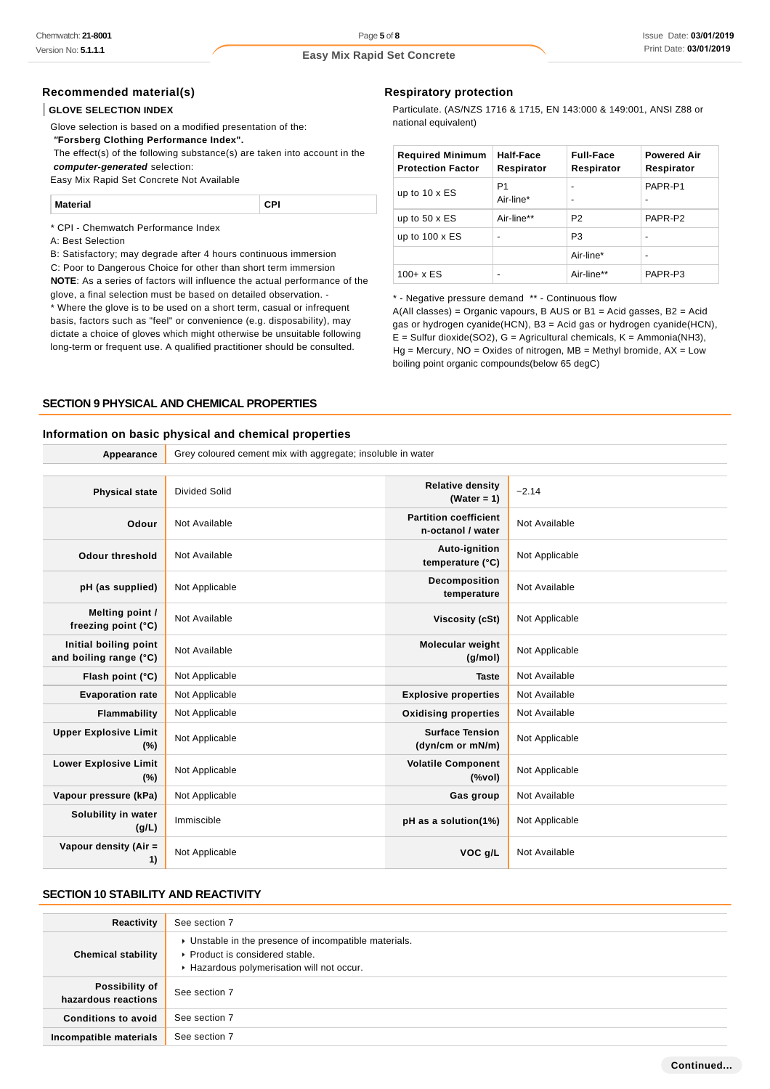### **Recommended material(s)**

#### **GLOVE SELECTION INDEX**

| ∣ CPI |
|-------|
|       |

#### **SECTION 9 PHYSICAL AND CHEMICAL PROPERTIES**

#### **Information on basic physical and chemical properties**

| Chemwatch: 21-8001                              |                                                                                                                                                 | Page 5 of 8                                                                                                                                       |                  |                                  | Issue Date: 03/01/20      |
|-------------------------------------------------|-------------------------------------------------------------------------------------------------------------------------------------------------|---------------------------------------------------------------------------------------------------------------------------------------------------|------------------|----------------------------------|---------------------------|
| Version No: <b>5.1.1.1</b>                      |                                                                                                                                                 | <b>Easy Mix Rapid Set Concrete</b>                                                                                                                |                  |                                  | Print Date: 03/01/201     |
| Recommended material(s)                         |                                                                                                                                                 | <b>Respiratory protection</b>                                                                                                                     |                  |                                  |                           |
| <b>GLOVE SELECTION INDEX</b>                    |                                                                                                                                                 | Particulate. (AS/NZS 1716 & 1715, EN 143:000 & 149:001, ANSI Z88 or                                                                               |                  |                                  |                           |
|                                                 | Glove selection is based on a modified presentation of the:                                                                                     | national equivalent)                                                                                                                              |                  |                                  |                           |
| "Forsberg Clothing Performance Index".          |                                                                                                                                                 |                                                                                                                                                   |                  |                                  |                           |
|                                                 | The effect(s) of the following substance(s) are taken into account in the                                                                       | <b>Required Minimum</b>                                                                                                                           | <b>Half-Face</b> | <b>Full-Face</b>                 | <b>Powered Air</b>        |
| computer-generated selection:                   |                                                                                                                                                 | <b>Protection Factor</b>                                                                                                                          | Respirator       | Respirator                       | Respirator                |
| Easy Mix Rapid Set Concrete Not Available       |                                                                                                                                                 | up to $10 \times ES$                                                                                                                              | P1               |                                  | PAPR-P1                   |
| <b>Material</b>                                 | CPI                                                                                                                                             |                                                                                                                                                   | Air-line*        | $\blacksquare$                   |                           |
| * CPI - Chemwatch Performance Index             |                                                                                                                                                 | up to $50 \times ES$<br>up to $100 \times ES$                                                                                                     | Air-line**       | P <sub>2</sub><br>P <sub>3</sub> | PAPR-P2<br>$\blacksquare$ |
| A: Best Selection                               | B: Satisfactory; may degrade after 4 hours continuous immersion                                                                                 |                                                                                                                                                   |                  |                                  | $\overline{a}$            |
|                                                 | C: Poor to Dangerous Choice for other than short term immersion                                                                                 |                                                                                                                                                   |                  | Air-line*                        |                           |
|                                                 | <b>NOTE:</b> As a series of factors will influence the actual performance of the                                                                | $100 + x ES$                                                                                                                                      |                  | Air-line**                       | PAPR-P3                   |
|                                                 | glove, a final selection must be based on detailed observation. -                                                                               | * - Negative pressure demand ** - Continuous flow                                                                                                 |                  |                                  |                           |
|                                                 | * Where the glove is to be used on a short term, casual or infrequent<br>basis, factors such as "feel" or convenience (e.g. disposability), may | $A(All classes) = Organic vapours, B AUS or B1 = Acid gases, B2 = Acid$                                                                           |                  |                                  |                           |
|                                                 | dictate a choice of gloves which might otherwise be unsuitable following                                                                        | gas or hydrogen cyanide(HCN), B3 = Acid gas or hydrogen cyanide(HCN),<br>$E =$ Sulfur dioxide(SO2), G = Agricultural chemicals, K = Ammonia(NH3), |                  |                                  |                           |
|                                                 | long-term or frequent use. A qualified practitioner should be consulted.                                                                        | $Hg$ = Mercury, NO = Oxides of nitrogen, MB = Methyl bromide, AX = Low                                                                            |                  |                                  |                           |
|                                                 |                                                                                                                                                 | boiling point organic compounds (below 65 degC)                                                                                                   |                  |                                  |                           |
|                                                 |                                                                                                                                                 |                                                                                                                                                   |                  |                                  |                           |
|                                                 | <b>SECTION 9 PHYSICAL AND CHEMICAL PROPERTIES</b>                                                                                               |                                                                                                                                                   |                  |                                  |                           |
| Appearance                                      | Information on basic physical and chemical properties<br>Grey coloured cement mix with aggregate; insoluble in water                            |                                                                                                                                                   |                  |                                  |                           |
|                                                 |                                                                                                                                                 |                                                                                                                                                   |                  |                                  |                           |
| <b>Physical state</b>                           | Divided Solid                                                                                                                                   | <b>Relative density</b><br>(Water = 1)                                                                                                            | $-2.14$          |                                  |                           |
| Odour                                           | Not Available                                                                                                                                   | <b>Partition coefficient</b><br>n-octanol / water                                                                                                 | Not Available    |                                  |                           |
| <b>Odour threshold</b>                          | Not Available                                                                                                                                   | Auto-ignition                                                                                                                                     | Not Applicable   |                                  |                           |
|                                                 |                                                                                                                                                 | temperature (°C)                                                                                                                                  |                  |                                  |                           |
| pH (as supplied)                                | Not Applicable                                                                                                                                  | Decomposition<br>temperature                                                                                                                      | Not Available    |                                  |                           |
| Melting point /<br>freezing point (°C)          | Not Available                                                                                                                                   | Viscosity (cSt)                                                                                                                                   | Not Applicable   |                                  |                           |
| Initial boiling point<br>and boiling range (°C) | Not Available                                                                                                                                   | <b>Molecular weight</b><br>(g/mol)                                                                                                                | Not Applicable   |                                  |                           |
| Flash point (°C)                                | Not Applicable                                                                                                                                  | Taste                                                                                                                                             | Not Available    |                                  |                           |
| <b>Evaporation rate</b>                         | Not Applicable                                                                                                                                  | <b>Explosive properties</b>                                                                                                                       | Not Available    |                                  |                           |
| <b>Flammability</b>                             | Not Applicable                                                                                                                                  | <b>Oxidising properties</b>                                                                                                                       | Not Available    |                                  |                           |
| <b>Upper Explosive Limit</b><br>$(\%)$          | Not Applicable                                                                                                                                  | <b>Surface Tension</b><br>(dyn/cm or mN/m)                                                                                                        | Not Applicable   |                                  |                           |
| <b>Lower Explosive Limit</b><br>$(\%)$          | Not Applicable                                                                                                                                  | <b>Volatile Component</b><br>$(% \mathcal{L}^{\prime }\cap \mathcal{L}^{\prime })$                                                                | Not Applicable   |                                  |                           |
| Vapour pressure (kPa)                           | Not Applicable                                                                                                                                  | Gas group                                                                                                                                         | Not Available    |                                  |                           |
| Solubility in water<br>(g/L)                    | Immiscible                                                                                                                                      | pH as a solution(1%)                                                                                                                              | Not Applicable   |                                  |                           |
| Vapour density (Air =<br>1)                     | Not Applicable                                                                                                                                  | VOC g/L                                                                                                                                           | Not Available    |                                  |                           |
| <b>SECTION 10 STABILITY AND REACTIVITY</b>      |                                                                                                                                                 |                                                                                                                                                   |                  |                                  |                           |
| <b>Reactivity</b>                               | See section 7                                                                                                                                   |                                                                                                                                                   |                  |                                  |                           |
|                                                 | • Unstable in the presence of incompatible materials.                                                                                           |                                                                                                                                                   |                  |                                  |                           |
| <b>Chemical stability</b>                       | Product is considered stable.<br>Hazardous polymerisation will not occur.                                                                       |                                                                                                                                                   |                  |                                  |                           |
| Possibility of<br>hazardous reactions           | See section 7                                                                                                                                   |                                                                                                                                                   |                  |                                  |                           |
| <b>Conditions to avoid</b>                      | See section 7                                                                                                                                   |                                                                                                                                                   |                  |                                  |                           |
| Incompatible materials                          | See section 7                                                                                                                                   |                                                                                                                                                   |                  |                                  |                           |
|                                                 |                                                                                                                                                 |                                                                                                                                                   |                  |                                  |                           |

### **SECTION 10 STABILITY AND REACTIVITY**

| Reactivity                            | See section 7                                                                                                                        |
|---------------------------------------|--------------------------------------------------------------------------------------------------------------------------------------|
| <b>Chemical stability</b>             | • Unstable in the presence of incompatible materials.<br>▶ Product is considered stable.<br>Hazardous polymerisation will not occur. |
| Possibility of<br>hazardous reactions | See section 7                                                                                                                        |
| <b>Conditions to avoid</b>            | See section 7                                                                                                                        |
| Incompatible materials                | See section 7                                                                                                                        |

#### **Respiratory protection**

| <b>Required Minimum</b><br><b>Protection Factor</b> | Half-Face<br>Respirator     | <b>Full-Face</b><br>Respirator                       | <b>Powered Air</b><br>Respirator |
|-----------------------------------------------------|-----------------------------|------------------------------------------------------|----------------------------------|
| up to $10 \times ES$                                | P <sub>1</sub><br>Air-line* | $\overline{\phantom{0}}$<br>$\overline{\phantom{0}}$ | PAPR-P1                          |
| up to $50 \times ES$                                | Air-line**                  | P <sub>2</sub>                                       | PAPR-P2                          |
| up to $100 \times ES$                               | ۰                           | P <sub>3</sub>                                       | -                                |
|                                                     |                             | Air-line*                                            |                                  |
| $100 + x ES$                                        | ۰                           | Air-line**                                           | PAPR-P3                          |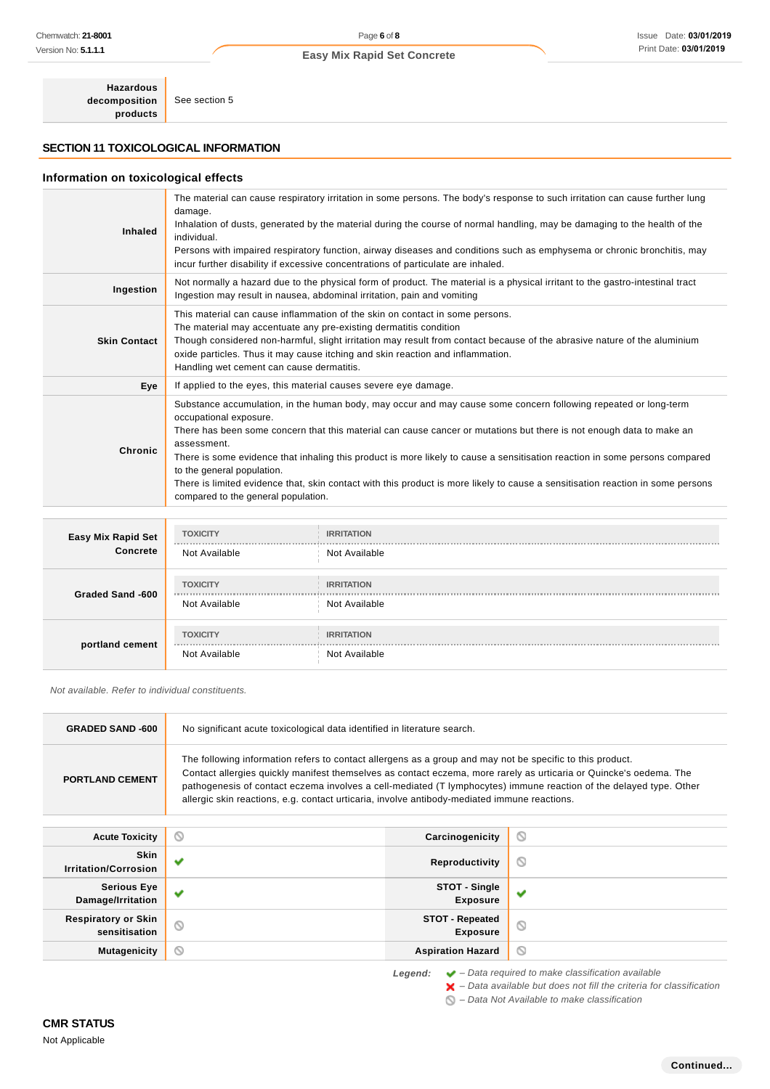### **SECTION 11 TOXICOLOGICAL INFORMATION**

#### **Information on toxicological effects**

| Chemwatch: 21-8001                               |                                                                                                                                                                                                                                                                                                                                                                                                                                                       | Page 6 of $8$                      |                                                                                  |                                                                                                                                                                                                                                                                                                                                                                                                                                                                                                           | Issue Date: 03/01/201  |
|--------------------------------------------------|-------------------------------------------------------------------------------------------------------------------------------------------------------------------------------------------------------------------------------------------------------------------------------------------------------------------------------------------------------------------------------------------------------------------------------------------------------|------------------------------------|----------------------------------------------------------------------------------|-----------------------------------------------------------------------------------------------------------------------------------------------------------------------------------------------------------------------------------------------------------------------------------------------------------------------------------------------------------------------------------------------------------------------------------------------------------------------------------------------------------|------------------------|
| Version No: <b>5.1.1.1</b>                       |                                                                                                                                                                                                                                                                                                                                                                                                                                                       | <b>Easy Mix Rapid Set Concrete</b> |                                                                                  |                                                                                                                                                                                                                                                                                                                                                                                                                                                                                                           | Print Date: 03/01/2019 |
| <b>Hazardous</b><br>decomposition<br>products    | See section 5                                                                                                                                                                                                                                                                                                                                                                                                                                         |                                    |                                                                                  |                                                                                                                                                                                                                                                                                                                                                                                                                                                                                                           |                        |
| <b>SECTION 11 TOXICOLOGICAL INFORMATION</b>      |                                                                                                                                                                                                                                                                                                                                                                                                                                                       |                                    |                                                                                  |                                                                                                                                                                                                                                                                                                                                                                                                                                                                                                           |                        |
| Information on toxicological effects             |                                                                                                                                                                                                                                                                                                                                                                                                                                                       |                                    |                                                                                  |                                                                                                                                                                                                                                                                                                                                                                                                                                                                                                           |                        |
|                                                  |                                                                                                                                                                                                                                                                                                                                                                                                                                                       |                                    |                                                                                  | The material can cause respiratory irritation in some persons. The body's response to such irritation can cause further lung                                                                                                                                                                                                                                                                                                                                                                              |                        |
| <b>Inhaled</b>                                   | damage.                                                                                                                                                                                                                                                                                                                                                                                                                                               |                                    |                                                                                  | Inhalation of dusts, generated by the material during the course of normal handling, may be damaging to the health of the                                                                                                                                                                                                                                                                                                                                                                                 |                        |
|                                                  | individual.                                                                                                                                                                                                                                                                                                                                                                                                                                           |                                    | incur further disability if excessive concentrations of particulate are inhaled. | Persons with impaired respiratory function, airway diseases and conditions such as emphysema or chronic bronchitis, may                                                                                                                                                                                                                                                                                                                                                                                   |                        |
| Ingestion                                        | Ingestion may result in nausea, abdominal irritation, pain and vomiting                                                                                                                                                                                                                                                                                                                                                                               |                                    |                                                                                  | Not normally a hazard due to the physical form of product. The material is a physical irritant to the gastro-intestinal tract                                                                                                                                                                                                                                                                                                                                                                             |                        |
|                                                  |                                                                                                                                                                                                                                                                                                                                                                                                                                                       |                                    | This material can cause inflammation of the skin on contact in some persons.     |                                                                                                                                                                                                                                                                                                                                                                                                                                                                                                           |                        |
| <b>Skin Contact</b>                              | The material may accentuate any pre-existing dermatitis condition<br>Handling wet cement can cause dermatitis.                                                                                                                                                                                                                                                                                                                                        |                                    | oxide particles. Thus it may cause itching and skin reaction and inflammation.   | Though considered non-harmful, slight irritation may result from contact because of the abrasive nature of the aluminium                                                                                                                                                                                                                                                                                                                                                                                  |                        |
| Eye                                              | If applied to the eyes, this material causes severe eye damage.                                                                                                                                                                                                                                                                                                                                                                                       |                                    |                                                                                  |                                                                                                                                                                                                                                                                                                                                                                                                                                                                                                           |                        |
| Chronic                                          | occupational exposure.<br>assessment.<br>to the general population.<br>compared to the general population.                                                                                                                                                                                                                                                                                                                                            |                                    |                                                                                  | Substance accumulation, in the human body, may occur and may cause some concern following repeated or long-term<br>There has been some concern that this material can cause cancer or mutations but there is not enough data to make an<br>There is some evidence that inhaling this product is more likely to cause a sensitisation reaction in some persons compared<br>There is limited evidence that, skin contact with this product is more likely to cause a sensitisation reaction in some persons |                        |
|                                                  |                                                                                                                                                                                                                                                                                                                                                                                                                                                       |                                    |                                                                                  |                                                                                                                                                                                                                                                                                                                                                                                                                                                                                                           |                        |
| Easy Mix Rapid Set                               | <b>TOXICITY</b>                                                                                                                                                                                                                                                                                                                                                                                                                                       | <b>IRRITATION</b>                  |                                                                                  |                                                                                                                                                                                                                                                                                                                                                                                                                                                                                                           |                        |
| Concrete                                         | Not Available                                                                                                                                                                                                                                                                                                                                                                                                                                         | Not Available                      |                                                                                  |                                                                                                                                                                                                                                                                                                                                                                                                                                                                                                           |                        |
|                                                  | <b>TOXICITY</b>                                                                                                                                                                                                                                                                                                                                                                                                                                       | <b>IRRITATION</b>                  |                                                                                  |                                                                                                                                                                                                                                                                                                                                                                                                                                                                                                           |                        |
| Graded Sand -600                                 | Not Available                                                                                                                                                                                                                                                                                                                                                                                                                                         | Not Available                      |                                                                                  |                                                                                                                                                                                                                                                                                                                                                                                                                                                                                                           |                        |
|                                                  | <b>TOXICITY</b>                                                                                                                                                                                                                                                                                                                                                                                                                                       | <b>IRRITATION</b>                  |                                                                                  |                                                                                                                                                                                                                                                                                                                                                                                                                                                                                                           |                        |
| portland cement                                  | Not Available                                                                                                                                                                                                                                                                                                                                                                                                                                         | Not Available                      |                                                                                  |                                                                                                                                                                                                                                                                                                                                                                                                                                                                                                           |                        |
| Not available. Refer to individual constituents. |                                                                                                                                                                                                                                                                                                                                                                                                                                                       |                                    |                                                                                  |                                                                                                                                                                                                                                                                                                                                                                                                                                                                                                           |                        |
| <b>GRADED SAND-600</b>                           | No significant acute toxicological data identified in literature search.                                                                                                                                                                                                                                                                                                                                                                              |                                    |                                                                                  |                                                                                                                                                                                                                                                                                                                                                                                                                                                                                                           |                        |
| <b>PORTLAND CEMENT</b>                           | The following information refers to contact allergens as a group and may not be specific to this product.<br>Contact allergies quickly manifest themselves as contact eczema, more rarely as urticaria or Quincke's oedema. The<br>pathogenesis of contact eczema involves a cell-mediated (T lymphocytes) immune reaction of the delayed type. Other<br>allergic skin reactions, e.g. contact urticaria, involve antibody-mediated immune reactions. |                                    |                                                                                  |                                                                                                                                                                                                                                                                                                                                                                                                                                                                                                           |                        |
| <b>Acute Toxicity</b>                            | O                                                                                                                                                                                                                                                                                                                                                                                                                                                     |                                    | Carcinogenicity                                                                  | O                                                                                                                                                                                                                                                                                                                                                                                                                                                                                                         |                        |
| <b>Skin</b><br><b>Irritation/Corrosion</b>       | v                                                                                                                                                                                                                                                                                                                                                                                                                                                     |                                    | Reproductivity                                                                   | O                                                                                                                                                                                                                                                                                                                                                                                                                                                                                                         |                        |
| <b>Serious Eye</b><br>Damage/Irritation          | v                                                                                                                                                                                                                                                                                                                                                                                                                                                     |                                    | STOT - Single<br><b>Exposure</b>                                                 | v                                                                                                                                                                                                                                                                                                                                                                                                                                                                                                         |                        |
| <b>Respiratory or Skin</b><br>sensitisation      | Q                                                                                                                                                                                                                                                                                                                                                                                                                                                     |                                    | <b>STOT - Repeated</b><br><b>Exposure</b>                                        | O                                                                                                                                                                                                                                                                                                                                                                                                                                                                                                         |                        |
| <b>Mutagenicity</b>                              | ⊚                                                                                                                                                                                                                                                                                                                                                                                                                                                     |                                    | <b>Aspiration Hazard</b>                                                         | O                                                                                                                                                                                                                                                                                                                                                                                                                                                                                                         |                        |
|                                                  |                                                                                                                                                                                                                                                                                                                                                                                                                                                       |                                    | Legend:                                                                          | $\blacktriangleright$ - Data required to make classification available<br>$\blacktriangleright$ - Data available but does not fill the criteria for classification<br>◯ - Data Not Available to make classification                                                                                                                                                                                                                                                                                       |                        |
| <b>CMR STATUS</b>                                |                                                                                                                                                                                                                                                                                                                                                                                                                                                       |                                    |                                                                                  |                                                                                                                                                                                                                                                                                                                                                                                                                                                                                                           |                        |
| Not Applicable                                   |                                                                                                                                                                                                                                                                                                                                                                                                                                                       |                                    |                                                                                  |                                                                                                                                                                                                                                                                                                                                                                                                                                                                                                           |                        |

| Easy Mix Rapid Set<br>Concrete | <b>TOXICITY</b><br>Not Available | <b>IRRITATION</b><br>Not Available |
|--------------------------------|----------------------------------|------------------------------------|
| Graded Sand -600               | <b>TOXICITY</b><br>Not Available | <b>IRRITATION</b><br>Not Available |
| portland cement                | <b>TOXICITY</b><br>Not Available | <b>IRRITATION</b><br>Not Available |

| <b>GRADED SAND -600</b>                     | No significant acute toxicological data identified in literature search.                                                                                                                                                                                                                                                                                                                                                                              |   |  |
|---------------------------------------------|-------------------------------------------------------------------------------------------------------------------------------------------------------------------------------------------------------------------------------------------------------------------------------------------------------------------------------------------------------------------------------------------------------------------------------------------------------|---|--|
| <b>PORTLAND CEMENT</b>                      | The following information refers to contact allergens as a group and may not be specific to this product.<br>Contact allergies quickly manifest themselves as contact eczema, more rarely as urticaria or Quincke's oedema. The<br>pathogenesis of contact eczema involves a cell-mediated (T lymphocytes) immune reaction of the delayed type. Other<br>allergic skin reactions, e.g. contact urticaria, involve antibody-mediated immune reactions. |   |  |
| <b>Acute Toxicity</b>                       | Q<br>Carcinogenicity                                                                                                                                                                                                                                                                                                                                                                                                                                  | Q |  |
| <b>Skin</b><br><b>Irritation/Corrosion</b>  | Reproductivity                                                                                                                                                                                                                                                                                                                                                                                                                                        | Q |  |
| <b>Serious Eye</b><br>Damage/Irritation     | STOT - Single<br><b>Exposure</b>                                                                                                                                                                                                                                                                                                                                                                                                                      | ັ |  |
|                                             |                                                                                                                                                                                                                                                                                                                                                                                                                                                       |   |  |
| <b>Respiratory or Skin</b><br>sensitisation | <b>STOT - Repeated</b><br>$\circ$<br><b>Exposure</b>                                                                                                                                                                                                                                                                                                                                                                                                  | Q |  |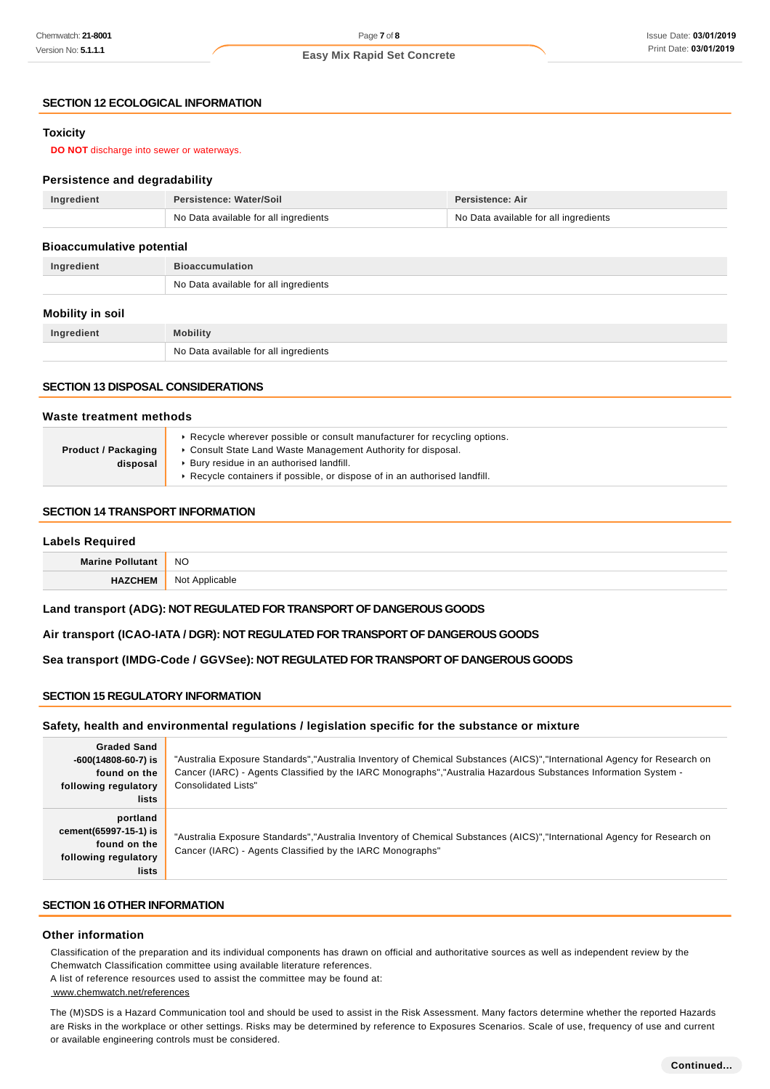### **SECTION 12 ECOLOGICAL INFORMATION**

### **Toxicity**

#### **Persistence and degradability**

| Ingredient | Persistence: Water/Soil               | <b>Persistence: Air</b>               |
|------------|---------------------------------------|---------------------------------------|
|            | No Data available for all ingredients | No Data available for all ingredients |

#### **Bioaccumulative potential**

| Ingredient |                                           |
|------------|-------------------------------------------|
|            | Data available for all ingredients<br>No. |

#### **Mobility in soil**

| ™edient<br>In <sub>n</sub><br> | <b><i>Aobility</i></b>                               |
|--------------------------------|------------------------------------------------------|
|                                | No I<br>Data available for all ingredients<br>$\sim$ |

#### **SECTION 13 DISPOSAL CONSIDERATIONS**

#### **Waste treatment methods**

|                            | ► Recycle wherever possible or consult manufacturer for recycling options. |
|----------------------------|----------------------------------------------------------------------------|
| <b>Product / Packaging</b> | • Consult State Land Waste Management Authority for disposal.              |
| disposal                   | ▶ Bury residue in an authorised landfill.                                  |
|                            | ► Recycle containers if possible, or dispose of in an authorised landfill. |

#### **SECTION 14 TRANSPORT INFORMATION**

#### **Labels Required**

| Mar | <b>NC</b><br>$\sim$ |
|-----|---------------------|
|     | הוח                 |

#### **Land transport (ADG): NOT REGULATED FOR TRANSPORT OF DANGEROUS GOODS**

#### **Air transport (ICAO-IATA / DGR): NOT REGULATED FOR TRANSPORT OF DANGEROUS GOODS**

#### **Sea transport (IMDG-Code / GGVSee): NOT REGULATED FOR TRANSPORT OF DANGEROUS GOODS**

### **SECTION 15 REGULATORY INFORMATION**

#### **Safety, health and environmental regulations / legislation specific for the substance or mixture**

| Chemwatch: <b>21-8001</b>                          | Page 7 of 8                                                                                                                               |                                                                                                                                                       | Issue Date: 03/01/  |
|----------------------------------------------------|-------------------------------------------------------------------------------------------------------------------------------------------|-------------------------------------------------------------------------------------------------------------------------------------------------------|---------------------|
| Version No: <b>5.1.1.1</b>                         | <b>Easy Mix Rapid Set Concrete</b>                                                                                                        |                                                                                                                                                       | Print Date: 03/01/2 |
|                                                    |                                                                                                                                           |                                                                                                                                                       |                     |
| <b>SECTION 12 ECOLOGICAL INFORMATION</b>           |                                                                                                                                           |                                                                                                                                                       |                     |
| <b>Toxicity</b>                                    |                                                                                                                                           |                                                                                                                                                       |                     |
| <b>DO NOT</b> discharge into sewer or waterways.   |                                                                                                                                           |                                                                                                                                                       |                     |
|                                                    |                                                                                                                                           |                                                                                                                                                       |                     |
| <b>Persistence and degradability</b><br>Ingredient | Persistence: Water/Soil                                                                                                                   | <b>Persistence: Air</b>                                                                                                                               |                     |
|                                                    | No Data available for all ingredients                                                                                                     | No Data available for all ingredients                                                                                                                 |                     |
|                                                    |                                                                                                                                           |                                                                                                                                                       |                     |
| <b>Bioaccumulative potential</b>                   |                                                                                                                                           |                                                                                                                                                       |                     |
| Ingredient                                         | <b>Bioaccumulation</b><br>No Data available for all ingredients                                                                           |                                                                                                                                                       |                     |
|                                                    |                                                                                                                                           |                                                                                                                                                       |                     |
| <b>Mobility in soil</b>                            |                                                                                                                                           |                                                                                                                                                       |                     |
| Ingredient                                         | <b>Mobility</b>                                                                                                                           |                                                                                                                                                       |                     |
|                                                    | No Data available for all ingredients                                                                                                     |                                                                                                                                                       |                     |
| <b>SECTION 13 DISPOSAL CONSIDERATIONS</b>          |                                                                                                                                           |                                                                                                                                                       |                     |
|                                                    |                                                                                                                                           |                                                                                                                                                       |                     |
| Waste treatment methods                            |                                                                                                                                           |                                                                                                                                                       |                     |
| <b>Product / Packaging</b>                         | ► Recycle wherever possible or consult manufacturer for recycling options.<br>Consult State Land Waste Management Authority for disposal. |                                                                                                                                                       |                     |
| disposal                                           | ▶ Bury residue in an authorised landfill.                                                                                                 |                                                                                                                                                       |                     |
|                                                    | Recycle containers if possible, or dispose of in an authorised landfill.                                                                  |                                                                                                                                                       |                     |
| <b>SECTION 14 TRANSPORT INFORMATION</b>            |                                                                                                                                           |                                                                                                                                                       |                     |
| <b>Labels Required</b>                             |                                                                                                                                           |                                                                                                                                                       |                     |
| <b>Marine Pollutant</b>                            | NO                                                                                                                                        |                                                                                                                                                       |                     |
| <b>HAZCHEM</b>                                     | Not Applicable                                                                                                                            |                                                                                                                                                       |                     |
|                                                    | Land transport (ADG): NOT REGULATED FOR TRANSPORT OF DANGEROUS GOODS                                                                      |                                                                                                                                                       |                     |
|                                                    |                                                                                                                                           |                                                                                                                                                       |                     |
|                                                    | Air transport (ICAO-IATA / DGR): NOT REGULATED FOR TRANSPORT OF DANGEROUS GOODS                                                           |                                                                                                                                                       |                     |
|                                                    | Sea transport (IMDG-Code / GGVSee): NOT REGULATED FOR TRANSPORT OF DANGEROUS GOODS                                                        |                                                                                                                                                       |                     |
| <b>SECTION 15 REGULATORY INFORMATION</b>           |                                                                                                                                           |                                                                                                                                                       |                     |
|                                                    |                                                                                                                                           |                                                                                                                                                       |                     |
|                                                    | Safety, health and environmental regulations / legislation specific for the substance or mixture                                          |                                                                                                                                                       |                     |
| <b>Graded Sand</b><br>$-600(14808-60-7)$ is        |                                                                                                                                           | "Australia Exposure Standards","Australia Inventory of Chemical Substances (AICS)","International Agency for Research on                              |                     |
| found on the                                       |                                                                                                                                           | Cancer (IARC) - Agents Classified by the IARC Monographs", "Australia Hazardous Substances Information System -                                       |                     |
| following regulatory<br>lists                      | <b>Consolidated Lists"</b>                                                                                                                |                                                                                                                                                       |                     |
| portland                                           |                                                                                                                                           |                                                                                                                                                       |                     |
| cement(65997-15-1) is                              |                                                                                                                                           | "Australia Exposure Standards", "Australia Inventory of Chemical Substances (AICS)", "International Agency for Research on                            |                     |
| found on the<br>following regulatory               | Cancer (IARC) - Agents Classified by the IARC Monographs"                                                                                 |                                                                                                                                                       |                     |
| lists                                              |                                                                                                                                           |                                                                                                                                                       |                     |
| <b>SECTION 16 OTHER INFORMATION</b>                |                                                                                                                                           |                                                                                                                                                       |                     |
| <b>Other information</b>                           |                                                                                                                                           |                                                                                                                                                       |                     |
|                                                    |                                                                                                                                           | Classification of the preparation and its individual components has drawn on official and authoritative sources as well as independent review by the  |                     |
|                                                    | Chemwatch Classification committee using available literature references.                                                                 |                                                                                                                                                       |                     |
| www.chemwatch.net/references                       | A list of reference resources used to assist the committee may be found at:                                                               |                                                                                                                                                       |                     |
|                                                    |                                                                                                                                           | The (M)SDS is a Hazard Communication tool and should be used to assist in the Risk Assessment. Many factors determine whether the reported Hazards    |                     |
|                                                    | or available engineering controls must be considered.                                                                                     | are Risks in the workplace or other settings. Risks may be determined by reference to Exposures Scenarios. Scale of use, frequency of use and current |                     |
|                                                    |                                                                                                                                           |                                                                                                                                                       |                     |

### **SECTION 16 OTHER INFORMATION**

#### **Other information**

#### www.chemwatch.net/references